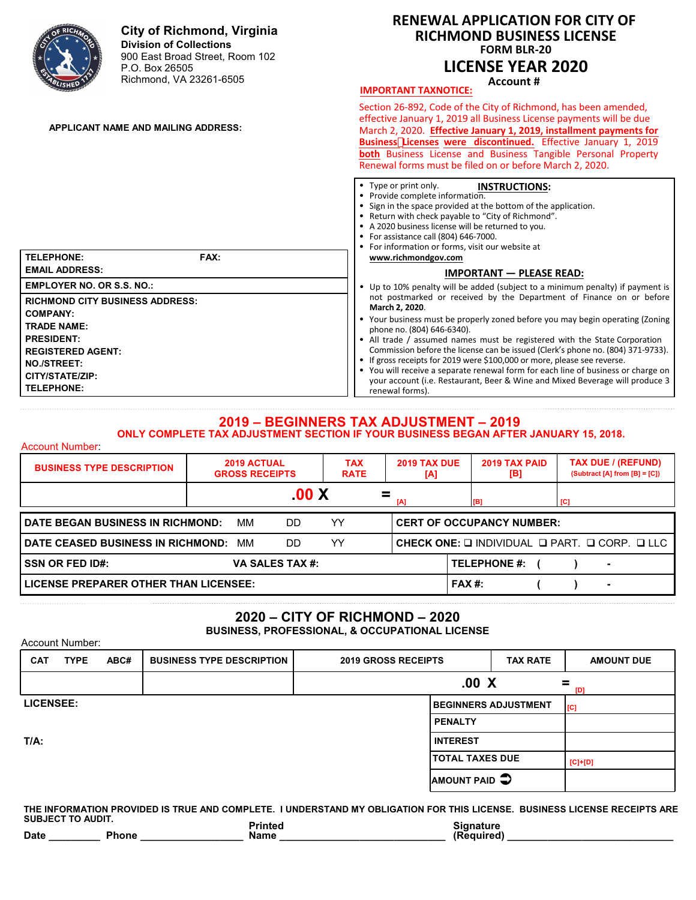

**CITY/STATE/ZIP: TELEPHONE:**

Account Number:

Account Number:

**•** You will receive a separate renewal form for each line of business or charge on your account (i.e. Restaurant, Beer & Wine and Mixed Beverage will produce 3 renewal forms).

#### **2019 – BEGINNERS TAX ADJUSTMENT – 2019 ONLY COMPLETE TAX ADJUSTMENT SECTION IF YOUR BUSINESS BEGAN AFTER JANUARY 15, 2018.**

| <b>BUSINESS TYPE DESCRIPTION</b>                   |  | <b>2019 ACTUAL</b><br><b>GROSS RECEIPTS</b> |                        | <b>TAX</b><br><b>RATE</b> | [A]                              | 2019 TAX PAID<br>2019 TAX DUE<br>[B]                                          |  |     | <b>TAX DUE / (REFUND)</b><br>$(Subtract [A] from [B] = [C])$ |  |
|----------------------------------------------------|--|---------------------------------------------|------------------------|---------------------------|----------------------------------|-------------------------------------------------------------------------------|--|-----|--------------------------------------------------------------|--|
|                                                    |  |                                             | .00 X                  |                           | [A]                              | [B]                                                                           |  | [C] |                                                              |  |
| YY<br>DATE BEGAN BUSINESS IN RICHMOND:<br>ΜМ<br>DD |  |                                             |                        |                           | <b>CERT OF OCCUPANCY NUMBER:</b> |                                                                               |  |     |                                                              |  |
| DATE CEASED BUSINESS IN RICHMOND:                  |  | мм                                          | DD                     | YY                        |                                  | CHECK ONE: $\square$ INDIVIDUAL $\square$ PART. $\square$ CORP. $\square$ LLC |  |     |                                                              |  |
| <b>SSN OR FED ID#:</b>                             |  |                                             | <b>VA SALES TAX #:</b> |                           |                                  | <b>TELEPHONE #:</b>                                                           |  |     | ۰                                                            |  |
| LICENSE PREPARER OTHER THAN LICENSEE:              |  |                                             |                        |                           |                                  | $FAX#$ :                                                                      |  |     | $\blacksquare$                                               |  |

# **2020 – CITY OF RICHMOND – 2020**

**BUSINESS, PROFESSIONAL, & OCCUPATIONAL LICENSE**

| <b>CAT</b>       | <b>TYPE</b> | ABC# | <b>BUSINESS TYPE DESCRIPTION</b> | <b>2019 GROSS RECEIPTS</b> |                        | <b>TAX RATE</b>             | <b>AMOUNT DUE</b> |
|------------------|-------------|------|----------------------------------|----------------------------|------------------------|-----------------------------|-------------------|
|                  |             |      |                                  | .00 X<br>=<br>[D]          |                        |                             |                   |
| <b>LICENSEE:</b> |             |      |                                  |                            |                        | <b>BEGINNERS ADJUSTMENT</b> | [C]               |
|                  |             |      |                                  |                            | <b>PENALTY</b>         |                             |                   |
| $T/A$ :          |             |      |                                  |                            | <b>INTEREST</b>        |                             |                   |
|                  |             |      |                                  |                            | <b>TOTAL TAXES DUE</b> |                             | $[C]+[D]$         |
|                  |             |      |                                  |                            | AMOUNT PAID $\bigcirc$ |                             |                   |

**THE INFORMATION PROVIDED IS TRUE AND COMPLETE. I UNDERSTAND MY OBLIGATION FOR THIS LICENSE. BUSINESS LICENSE RECEIPTS ARE SUBJECT TO AUDIT. Printed Signature** Date **Date Phone**